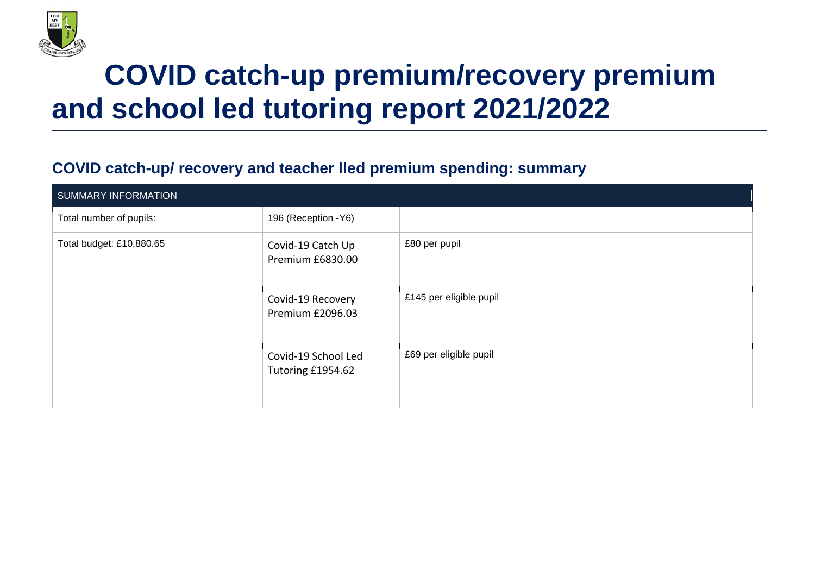

## **COVID catch-up premium/recovery premium and school led tutoring report 2021/2022**

## **COVID catch-up/ recovery and teacher lled premium spending: summary**

| <b>SUMMARY INFORMATION</b> |                                          |                         |
|----------------------------|------------------------------------------|-------------------------|
| Total number of pupils:    | 196 (Reception - Y6)                     |                         |
| Total budget: £10,880.65   | Covid-19 Catch Up<br>Premium £6830.00    | £80 per pupil           |
|                            | Covid-19 Recovery<br>Premium £2096.03    | £145 per eligible pupil |
|                            | Covid-19 School Led<br>Tutoring £1954.62 | £69 per eligible pupil  |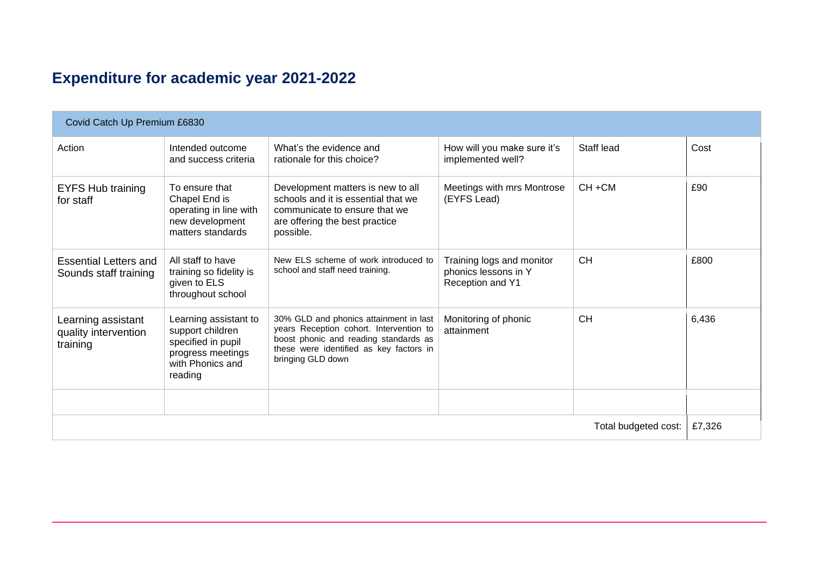## **Expenditure for academic year 2021-2022**

| Covid Catch Up Premium £6830                           |                                                                                                                     |                                                                                                                                                                                            |                                                                       |            |       |
|--------------------------------------------------------|---------------------------------------------------------------------------------------------------------------------|--------------------------------------------------------------------------------------------------------------------------------------------------------------------------------------------|-----------------------------------------------------------------------|------------|-------|
| Action                                                 | Intended outcome<br>and success criteria                                                                            | What's the evidence and<br>rationale for this choice?                                                                                                                                      | How will you make sure it's<br>implemented well?                      | Staff lead | Cost  |
| <b>EYFS Hub training</b><br>for staff                  | To ensure that<br>Chapel End is<br>operating in line with<br>new development<br>matters standards                   | Development matters is new to all<br>schools and it is essential that we<br>communicate to ensure that we<br>are offering the best practice<br>possible.                                   | Meetings with mrs Montrose<br>(EYFS Lead)                             | $CH + CM$  | £90   |
| <b>Essential Letters and</b><br>Sounds staff training  | All staff to have<br>training so fidelity is<br>given to ELS<br>throughout school                                   | New ELS scheme of work introduced to<br>school and staff need training.                                                                                                                    | Training logs and monitor<br>phonics lessons in Y<br>Reception and Y1 | <b>CH</b>  | £800  |
| Learning assistant<br>quality intervention<br>training | Learning assistant to<br>support children<br>specified in pupil<br>progress meetings<br>with Phonics and<br>reading | 30% GLD and phonics attainment in last<br>years Reception cohort. Intervention to<br>boost phonic and reading standards as<br>these were identified as key factors in<br>bringing GLD down | Monitoring of phonic<br>attainment                                    | <b>CH</b>  | 6,436 |
|                                                        |                                                                                                                     |                                                                                                                                                                                            |                                                                       |            |       |
| Total budgeted cost:                                   |                                                                                                                     |                                                                                                                                                                                            |                                                                       | £7,326     |       |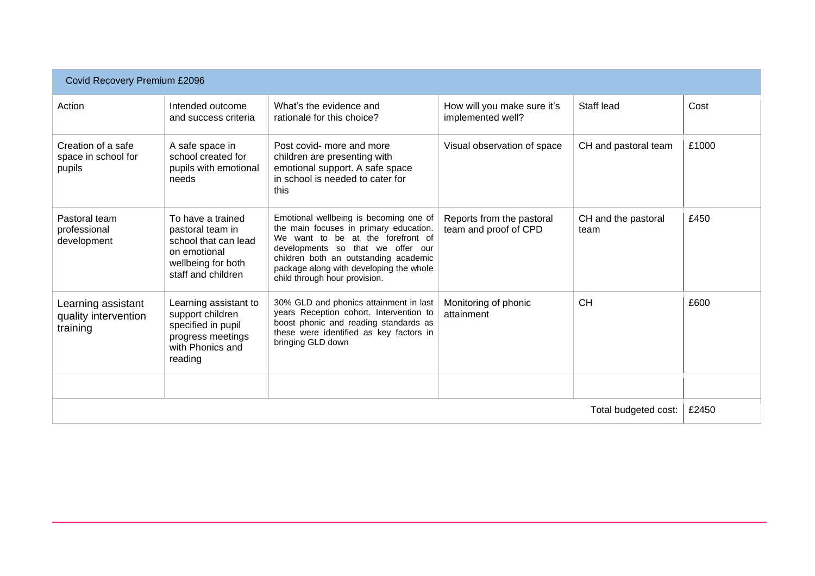| Covid Recovery Premium £2096                           |                                                                                                                           |                                                                                                                                                                                                                                                                                 |                                                    |                             |       |
|--------------------------------------------------------|---------------------------------------------------------------------------------------------------------------------------|---------------------------------------------------------------------------------------------------------------------------------------------------------------------------------------------------------------------------------------------------------------------------------|----------------------------------------------------|-----------------------------|-------|
| Action                                                 | Intended outcome<br>and success criteria                                                                                  | What's the evidence and<br>rationale for this choice?                                                                                                                                                                                                                           | How will you make sure it's<br>implemented well?   | Staff lead                  | Cost  |
| Creation of a safe<br>space in school for<br>pupils    | A safe space in<br>school created for<br>pupils with emotional<br>needs                                                   | Post covid- more and more<br>children are presenting with<br>emotional support. A safe space<br>in school is needed to cater for<br>this                                                                                                                                        | Visual observation of space                        | CH and pastoral team        | £1000 |
| Pastoral team<br>professional<br>development           | To have a trained<br>pastoral team in<br>school that can lead<br>on emotional<br>wellbeing for both<br>staff and children | Emotional wellbeing is becoming one of<br>the main focuses in primary education.<br>We want to be at the forefront of<br>developments so that we offer our<br>children both an outstanding academic<br>package along with developing the whole<br>child through hour provision. | Reports from the pastoral<br>team and proof of CPD | CH and the pastoral<br>team | £450  |
| Learning assistant<br>quality intervention<br>training | Learning assistant to<br>support children<br>specified in pupil<br>progress meetings<br>with Phonics and<br>reading       | 30% GLD and phonics attainment in last<br>years Reception cohort. Intervention to<br>boost phonic and reading standards as<br>these were identified as key factors in<br>bringing GLD down                                                                                      | Monitoring of phonic<br>attainment                 | <b>CH</b>                   | £600  |
|                                                        |                                                                                                                           |                                                                                                                                                                                                                                                                                 |                                                    |                             |       |
| Total budgeted cost:                                   |                                                                                                                           |                                                                                                                                                                                                                                                                                 |                                                    | £2450                       |       |